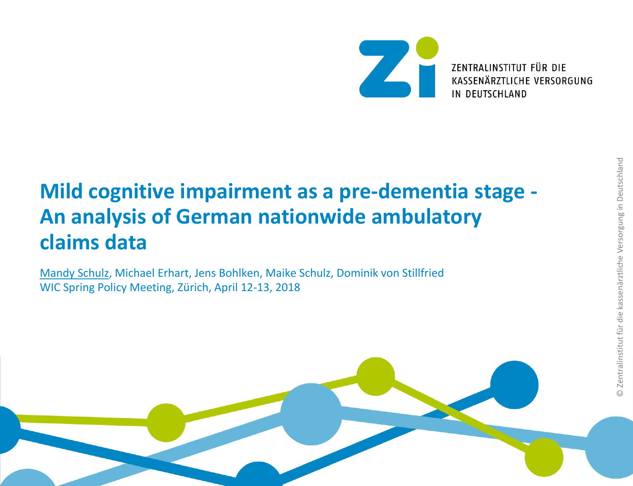

# **Mild cognitive impairment as a pre-dementia stage - An analysis of German nationwide ambulatory claims data**

Mandy Schulz, Michael Erhart, Jens Bohlken, Maike Schulz, Dominik von Stillfried WIC Spring Policy Meeting, Zürich, April 12-13, 2018

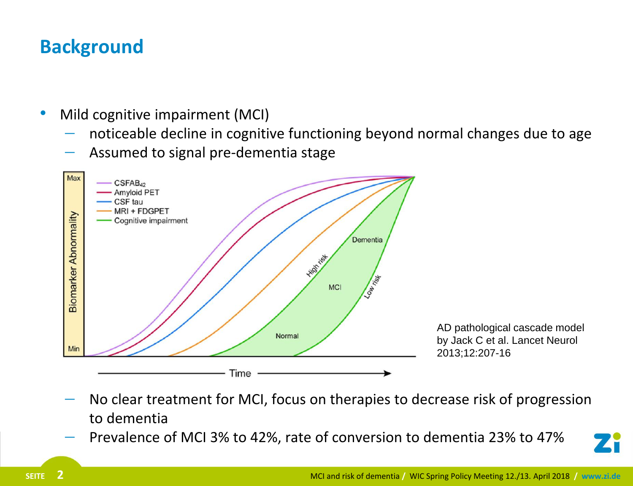## **Background**

- Mild cognitive impairment (MCI)
	- noticeable decline in cognitive functioning beyond normal changes due to age
	- Assumed to signal pre-dementia stage



- No clear treatment for MCI, focus on therapies to decrease risk of progression to dementia
- Prevalence of MCI 3% to 42%, rate of conversion to dementia 23% to 47%

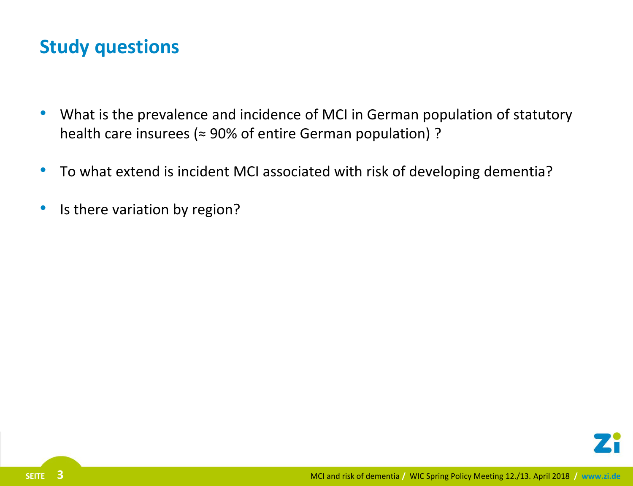### **Study questions**

- What is the prevalence and incidence of MCI in German population of statutory health care insurees ( $\approx$  90% of entire German population) ?
- To what extend is incident MCI associated with risk of developing dementia?
- Is there variation by region?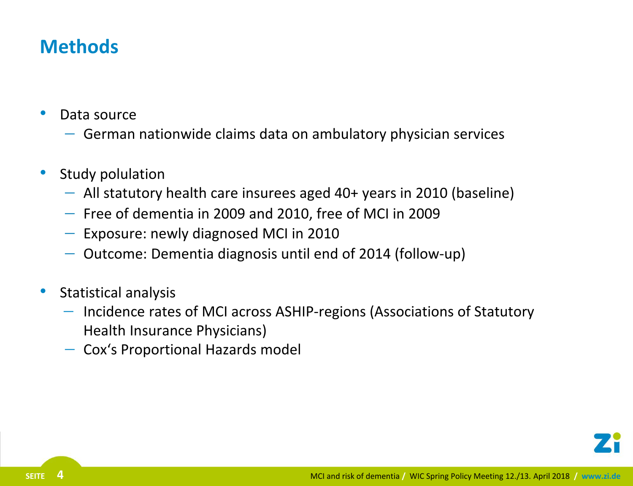### **Methods**

- Data source
	- $-$  German nationwide claims data on ambulatory physician services
- Study polulation
	- $-$  All statutory health care insurees aged 40+ years in 2010 (baseline)
	- $-$  Free of dementia in 2009 and 2010, free of MCI in 2009
	- $-$  Exposure: newly diagnosed MCI in 2010
	- $-$  Outcome: Dementia diagnosis until end of 2014 (follow-up)
- Statistical analysis
	- $-$  Incidence rates of MCI across ASHIP-regions (Associations of Statutory Health Insurance Physicians)
	- Cox's Proportional Hazards model

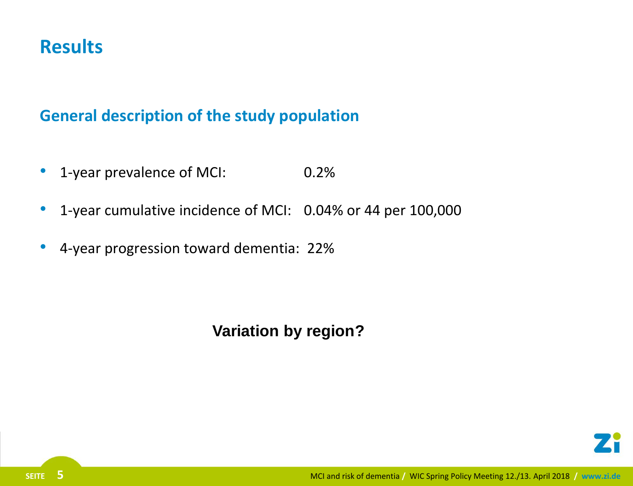### **Results**

#### **General description of the study population**

- 1-year prevalence of MCI: 0.2%
- 1-year cumulative incidence of MCI: 0.04% or 44 per 100,000
- 4-year progression toward dementia: 22%

#### **Variation by region?**

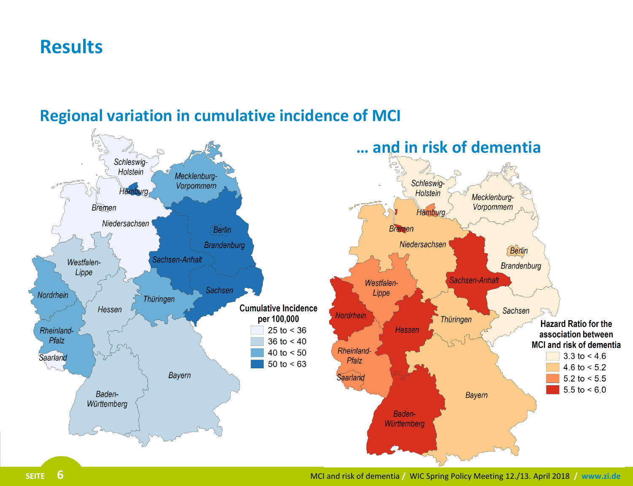### **Results**



#### **Regional variation in cumulative incidence of MCI**

**SEITE 6** MCI and risk of dementia **/** WIC Spring Policy Meeting 12./13. April 2018 **/ www.zi.de**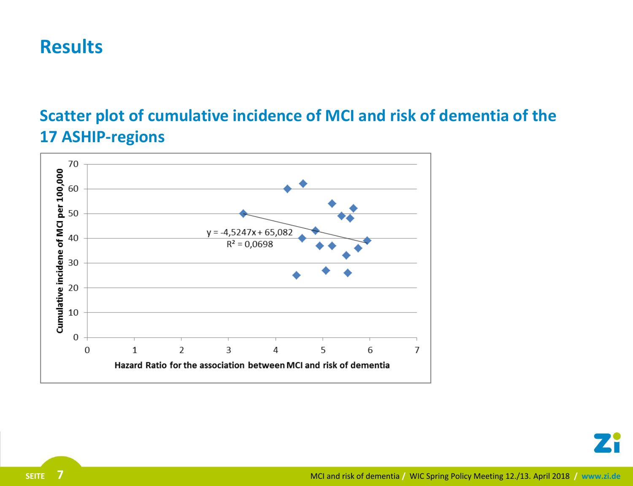### **Results**

#### **Scatter plot of cumulative incidence of MCI and risk of dementia of the 17 ASHIP-regions**



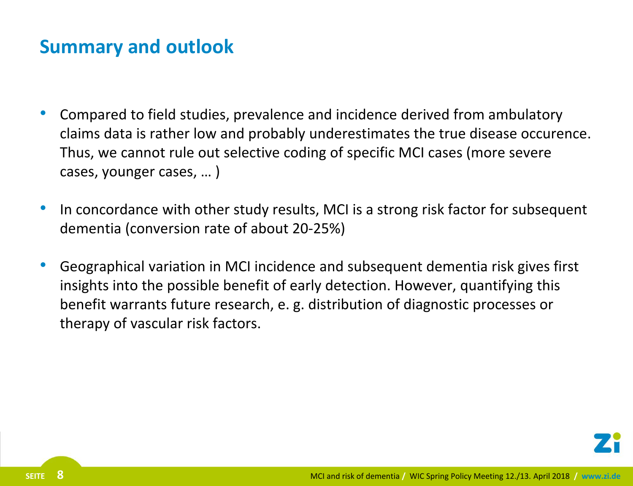### **Summary and outlook**

- Compared to field studies, prevalence and incidence derived from ambulatory claims data is rather low and probably underestimates the true disease occurence. Thus, we cannot rule out selective coding of specific MCI cases (more severe cases, younger cases, … )
- In concordance with other study results, MCI is a strong risk factor for subsequent dementia (conversion rate of about 20-25%)
- Geographical variation in MCI incidence and subsequent dementia risk gives first insights into the possible benefit of early detection. However, quantifying this benefit warrants future research, e. g. distribution of diagnostic processes or therapy of vascular risk factors.

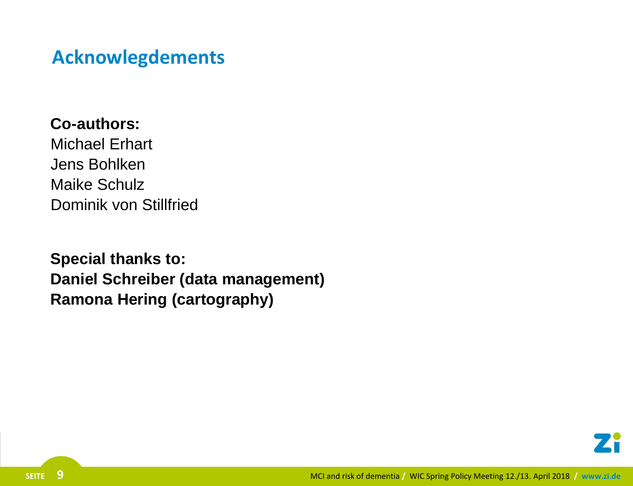### **Acknowlegdements**

**Co-authors:** Michael Erhart Jens Bohlken Maike Schulz Dominik von Stillfried

**Special thanks to: Daniel Schreiber (data management) Ramona Hering (cartography)**